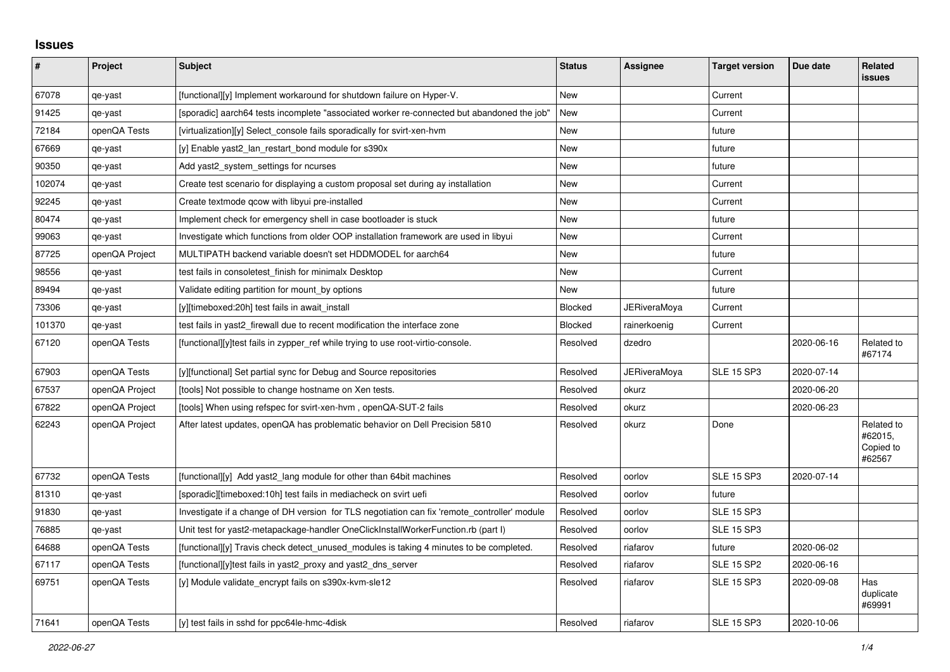## **Issues**

| #      | Project        | <b>Subject</b>                                                                               | <b>Status</b> | Assignee            | <b>Target version</b> | Due date   | <b>Related</b><br><b>issues</b>              |
|--------|----------------|----------------------------------------------------------------------------------------------|---------------|---------------------|-----------------------|------------|----------------------------------------------|
| 67078  | qe-yast        | [functional][y] Implement workaround for shutdown failure on Hyper-V.                        | <b>New</b>    |                     | Current               |            |                                              |
| 91425  | qe-yast        | [sporadic] aarch64 tests incomplete "associated worker re-connected but abandoned the job"   | <b>New</b>    |                     | Current               |            |                                              |
| 72184  | openQA Tests   | [virtualization][y] Select console fails sporadically for svirt-xen-hym                      | <b>New</b>    |                     | future                |            |                                              |
| 67669  | qe-yast        | [y] Enable yast2_lan_restart_bond module for s390x                                           | <b>New</b>    |                     | future                |            |                                              |
| 90350  | qe-yast        | Add yast2 system settings for ncurses                                                        | New           |                     | future                |            |                                              |
| 102074 | qe-yast        | Create test scenario for displaying a custom proposal set during ay installation             | <b>New</b>    |                     | Current               |            |                                              |
| 92245  | qe-yast        | Create textmode gcow with libyui pre-installed                                               | <b>New</b>    |                     | Current               |            |                                              |
| 80474  | qe-yast        | Implement check for emergency shell in case bootloader is stuck                              | <b>New</b>    |                     | future                |            |                                              |
| 99063  | qe-yast        | Investigate which functions from older OOP installation framework are used in libyui         | <b>New</b>    |                     | Current               |            |                                              |
| 87725  | openQA Project | MULTIPATH backend variable doesn't set HDDMODEL for aarch64                                  | New           |                     | future                |            |                                              |
| 98556  | qe-yast        | test fails in consoletest_finish for minimalx Desktop                                        | <b>New</b>    |                     | Current               |            |                                              |
| 89494  | qe-yast        | Validate editing partition for mount_by options                                              | <b>New</b>    |                     | future                |            |                                              |
| 73306  | qe-yast        | [y][timeboxed:20h] test fails in await install                                               | Blocked       | <b>JERiveraMoya</b> | Current               |            |                                              |
| 101370 | qe-yast        | test fails in yast2 firewall due to recent modification the interface zone                   | Blocked       | rainerkoenig        | Current               |            |                                              |
| 67120  | openQA Tests   | [functional][y]test fails in zypper_ref while trying to use root-virtio-console.             | Resolved      | dzedro              |                       | 2020-06-16 | Related to<br>#67174                         |
| 67903  | openQA Tests   | [y][functional] Set partial sync for Debug and Source repositories                           | Resolved      | <b>JERiveraMoya</b> | <b>SLE 15 SP3</b>     | 2020-07-14 |                                              |
| 67537  | openQA Project | [tools] Not possible to change hostname on Xen tests.                                        | Resolved      | okurz               |                       | 2020-06-20 |                                              |
| 67822  | openQA Project | [tools] When using refspec for svirt-xen-hvm, openQA-SUT-2 fails                             | Resolved      | okurz               |                       | 2020-06-23 |                                              |
| 62243  | openQA Project | After latest updates, openQA has problematic behavior on Dell Precision 5810                 | Resolved      | okurz               | Done                  |            | Related to<br>#62015,<br>Copied to<br>#62567 |
| 67732  | openQA Tests   | [functional][y] Add yast2 lang module for other than 64bit machines                          | Resolved      | oorlov              | <b>SLE 15 SP3</b>     | 2020-07-14 |                                              |
| 81310  | qe-yast        | [sporadic][timeboxed:10h] test fails in mediacheck on svirt uefi                             | Resolved      | oorlov              | future                |            |                                              |
| 91830  | qe-yast        | Investigate if a change of DH version for TLS negotiation can fix 'remote controller' module | Resolved      | oorlov              | <b>SLE 15 SP3</b>     |            |                                              |
| 76885  | qe-yast        | Unit test for yast2-metapackage-handler OneClickInstallWorkerFunction.rb (part I)            | Resolved      | oorlov              | <b>SLE 15 SP3</b>     |            |                                              |
| 64688  | openQA Tests   | [functional][y] Travis check detect unused modules is taking 4 minutes to be completed.      | Resolved      | riafarov            | future                | 2020-06-02 |                                              |
| 67117  | openQA Tests   | [functional][y]test fails in yast2_proxy and yast2_dns_server                                | Resolved      | riafarov            | <b>SLE 15 SP2</b>     | 2020-06-16 |                                              |
| 69751  | openQA Tests   | [y] Module validate_encrypt fails on s390x-kvm-sle12                                         | Resolved      | riafarov            | <b>SLE 15 SP3</b>     | 2020-09-08 | Has<br>duplicate<br>#69991                   |
| 71641  | openQA Tests   | [y] test fails in sshd for ppc64le-hmc-4disk                                                 | Resolved      | riafarov            | <b>SLE 15 SP3</b>     | 2020-10-06 |                                              |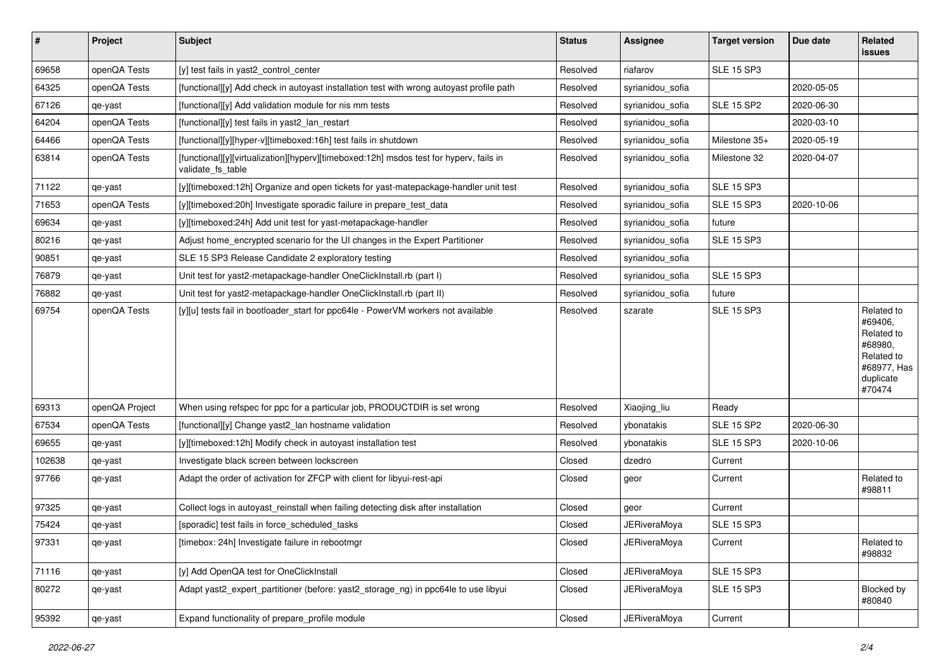| $\vert$ # | Project        | Subject                                                                                                     | <b>Status</b> | Assignee            | <b>Target version</b> | Due date   | Related<br><b>issues</b>                                                                           |
|-----------|----------------|-------------------------------------------------------------------------------------------------------------|---------------|---------------------|-----------------------|------------|----------------------------------------------------------------------------------------------------|
| 69658     | openQA Tests   | [y] test fails in yast2_control_center                                                                      | Resolved      | riafarov            | <b>SLE 15 SP3</b>     |            |                                                                                                    |
| 64325     | openQA Tests   | [functional][y] Add check in autoyast installation test with wrong autoyast profile path                    | Resolved      | syrianidou sofia    |                       | 2020-05-05 |                                                                                                    |
| 67126     | qe-yast        | [functional][y] Add validation module for nis mm tests                                                      | Resolved      | syrianidou_sofia    | SLE 15 SP2            | 2020-06-30 |                                                                                                    |
| 64204     | openQA Tests   | [functional][y] test fails in yast2_lan_restart                                                             | Resolved      | syrianidou_sofia    |                       | 2020-03-10 |                                                                                                    |
| 64466     | openQA Tests   | [functional][y][hyper-v][timeboxed:16h] test fails in shutdown                                              | Resolved      | syrianidou_sofia    | Milestone 35+         | 2020-05-19 |                                                                                                    |
| 63814     | openQA Tests   | [functional][y][virtualization][hyperv][timeboxed:12h] msdos test for hyperv, fails in<br>validate fs table | Resolved      | syrianidou_sofia    | Milestone 32          | 2020-04-07 |                                                                                                    |
| 71122     | qe-yast        | [y][timeboxed:12h] Organize and open tickets for yast-matepackage-handler unit test                         | Resolved      | syrianidou_sofia    | <b>SLE 15 SP3</b>     |            |                                                                                                    |
| 71653     | openQA Tests   | [y][timeboxed:20h] Investigate sporadic failure in prepare_test_data                                        | Resolved      | syrianidou sofia    | <b>SLE 15 SP3</b>     | 2020-10-06 |                                                                                                    |
| 69634     | qe-yast        | [y][timeboxed:24h] Add unit test for yast-metapackage-handler                                               | Resolved      | syrianidou sofia    | future                |            |                                                                                                    |
| 80216     | qe-yast        | Adjust home_encrypted scenario for the UI changes in the Expert Partitioner                                 | Resolved      | syrianidou sofia    | <b>SLE 15 SP3</b>     |            |                                                                                                    |
| 90851     | qe-yast        | SLE 15 SP3 Release Candidate 2 exploratory testing                                                          | Resolved      | syrianidou_sofia    |                       |            |                                                                                                    |
| 76879     | qe-yast        | Unit test for yast2-metapackage-handler OneClickInstall.rb (part I)                                         | Resolved      | syrianidou sofia    | <b>SLE 15 SP3</b>     |            |                                                                                                    |
| 76882     | qe-yast        | Unit test for yast2-metapackage-handler OneClickInstall.rb (part II)                                        | Resolved      | syrianidou_sofia    | future                |            |                                                                                                    |
| 69754     | openQA Tests   | [y][u] tests fail in bootloader_start for ppc64le - PowerVM workers not available                           | Resolved      | szarate             | <b>SLE 15 SP3</b>     |            | Related to<br>#69406,<br>Related to<br>#68980,<br>Related to<br>#68977, Has<br>duplicate<br>#70474 |
| 69313     | openQA Project | When using refspec for ppc for a particular job, PRODUCTDIR is set wrong                                    | Resolved      | Xiaojing_liu        | Ready                 |            |                                                                                                    |
| 67534     | openQA Tests   | [functional][y] Change yast2 lan hostname validation                                                        | Resolved      | vbonatakis          | <b>SLE 15 SP2</b>     | 2020-06-30 |                                                                                                    |
| 69655     | qe-yast        | [y][timeboxed:12h] Modify check in autoyast installation test                                               | Resolved      | ybonatakis          | <b>SLE 15 SP3</b>     | 2020-10-06 |                                                                                                    |
| 102638    | qe-yast        | Investigate black screen between lockscreen                                                                 | Closed        | dzedro              | Current               |            |                                                                                                    |
| 97766     | qe-yast        | Adapt the order of activation for ZFCP with client for libyui-rest-api                                      | Closed        | geor                | Current               |            | Related to<br>#98811                                                                               |
| 97325     | qe-yast        | Collect logs in autoyast reinstall when failing detecting disk after installation                           | Closed        | geor                | Current               |            |                                                                                                    |
| 75424     | qe-yast        | [sporadic] test fails in force_scheduled_tasks                                                              | Closed        | <b>JERiveraMoya</b> | <b>SLE 15 SP3</b>     |            |                                                                                                    |
| 97331     | qe-yast        | [timebox: 24h] Investigate failure in rebootmgr                                                             | Closed        | JERiveraMoya        | Current               |            | Related to<br>#98832                                                                               |
| 71116     | qe-yast        | [y] Add OpenQA test for OneClickInstall                                                                     | Closed        | <b>JERiveraMoya</b> | <b>SLE 15 SP3</b>     |            |                                                                                                    |
| 80272     | qe-yast        | Adapt yast2_expert_partitioner (before: yast2_storage_ng) in ppc64le to use libyui                          | Closed        | <b>JERiveraMoya</b> | <b>SLE 15 SP3</b>     |            | Blocked by<br>#80840                                                                               |
| 95392     | qe-yast        | Expand functionality of prepare_profile module                                                              | Closed        | JERiveraMoya        | Current               |            |                                                                                                    |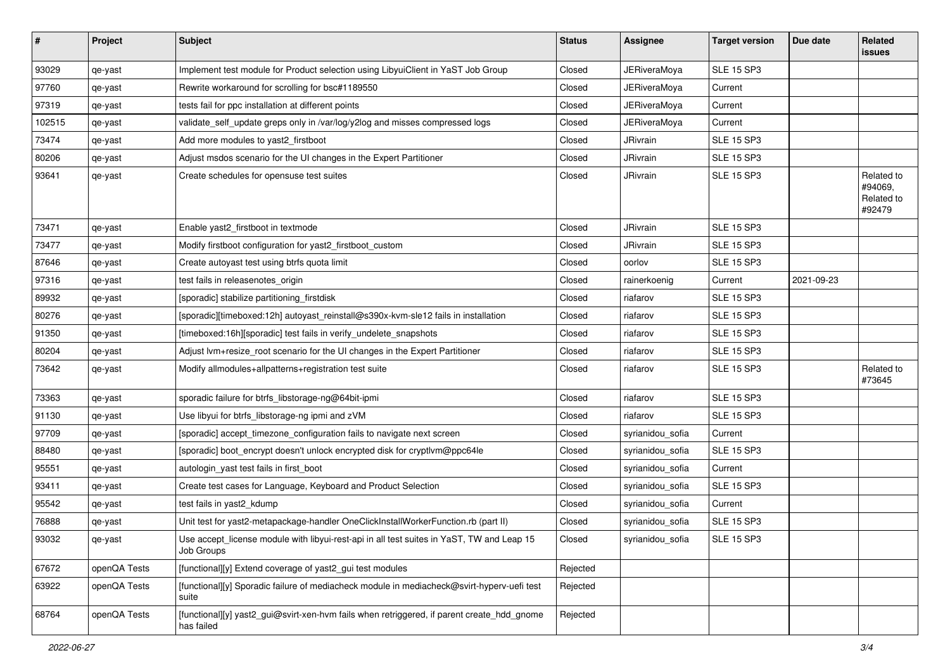| $\vert$ # | Project      | <b>Subject</b>                                                                                           | <b>Status</b>     | <b>Assignee</b>     | <b>Target version</b> | Due date   | Related<br><b>issues</b>                      |
|-----------|--------------|----------------------------------------------------------------------------------------------------------|-------------------|---------------------|-----------------------|------------|-----------------------------------------------|
| 93029     | qe-yast      | Implement test module for Product selection using LibyuiClient in YaST Job Group                         | Closed            | <b>JERiveraMoya</b> | <b>SLE 15 SP3</b>     |            |                                               |
| 97760     | qe-yast      | Rewrite workaround for scrolling for bsc#1189550                                                         | Closed            | JERiveraMoya        | Current               |            |                                               |
| 97319     | qe-yast      | tests fail for ppc installation at different points                                                      | Closed            | JERiveraMoya        | Current               |            |                                               |
| 102515    | qe-yast      | validate_self_update greps only in /var/log/y2log and misses compressed logs                             | Closed            | <b>JERiveraMoya</b> | Current               |            |                                               |
| 73474     | qe-yast      | Add more modules to yast2_firstboot                                                                      | Closed            | JRivrain            | <b>SLE 15 SP3</b>     |            |                                               |
| 80206     | qe-yast      | Adjust msdos scenario for the UI changes in the Expert Partitioner                                       | Closed            | JRivrain            | <b>SLE 15 SP3</b>     |            |                                               |
| 93641     | qe-yast      | Create schedules for opensuse test suites                                                                | Closed            | JRivrain            | <b>SLE 15 SP3</b>     |            | Related to<br>#94069,<br>Related to<br>#92479 |
| 73471     | qe-yast      | Enable yast2_firstboot in textmode                                                                       | Closed            | <b>JRivrain</b>     | <b>SLE 15 SP3</b>     |            |                                               |
| 73477     | qe-yast      | Modify firstboot configuration for yast2_firstboot_custom                                                | Closed            | JRivrain            | <b>SLE 15 SP3</b>     |            |                                               |
| 87646     | qe-yast      | Create autoyast test using btrfs quota limit                                                             | Closed            | oorlov              | <b>SLE 15 SP3</b>     |            |                                               |
| 97316     | qe-yast      | test fails in releasenotes_origin                                                                        | Closed            | rainerkoenig        | Current               | 2021-09-23 |                                               |
| 89932     | qe-yast      | [sporadic] stabilize partitioning_firstdisk                                                              | Closed            | riafarov            | <b>SLE 15 SP3</b>     |            |                                               |
| 80276     | qe-yast      | [sporadic][timeboxed:12h] autoyast_reinstall@s390x-kvm-sle12 fails in installation                       | Closed            | riafarov            | <b>SLE 15 SP3</b>     |            |                                               |
| 91350     | qe-yast      | [timeboxed:16h][sporadic] test fails in verify_undelete_snapshots                                        | Closed            | riafarov            | <b>SLE 15 SP3</b>     |            |                                               |
| 80204     | qe-yast      | Adjust lvm+resize_root scenario for the UI changes in the Expert Partitioner                             | Closed            | riafarov            | <b>SLE 15 SP3</b>     |            |                                               |
| 73642     | qe-yast      | Modify allmodules+allpatterns+registration test suite                                                    | Closed            | riafarov            | <b>SLE 15 SP3</b>     |            | Related to<br>#73645                          |
| 73363     | qe-yast      | sporadic failure for btrfs_libstorage-ng@64bit-ipmi                                                      | Closed            | riafarov            | <b>SLE 15 SP3</b>     |            |                                               |
| 91130     | qe-yast      | Use libyui for btrfs_libstorage-ng ipmi and zVM                                                          | Closed            | riafarov            | <b>SLE 15 SP3</b>     |            |                                               |
| 97709     | qe-yast      | [sporadic] accept_timezone_configuration fails to navigate next screen                                   | Closed            | syrianidou_sofia    | Current               |            |                                               |
| 88480     | qe-yast      | [sporadic] boot_encrypt doesn't unlock encrypted disk for cryptlvm@ppc64le                               | Closed            | syrianidou_sofia    | <b>SLE 15 SP3</b>     |            |                                               |
| 95551     | qe-yast      | autologin_yast test fails in first_boot                                                                  | Closed            | syrianidou_sofia    | Current               |            |                                               |
| 93411     | qe-yast      | Create test cases for Language, Keyboard and Product Selection                                           | Closed            | syrianidou_sofia    | <b>SLE 15 SP3</b>     |            |                                               |
| 95542     | qe-yast      | test fails in yast2_kdump                                                                                | Closed            | syrianidou sofia    | Current               |            |                                               |
| 76888     | qe-yast      | Unit test for yast2-metapackage-handler OneClickInstallWorkerFunction.rb (part II)                       | Closed            | syrianidou_sofia    | <b>SLE 15 SP3</b>     |            |                                               |
| 93032     | qe-yast      | Use accept_license module with libyui-rest-api in all test suites in YaST, TW and Leap 15<br>Job Groups  | $\mathsf{Closed}$ | syrianidou_sofia    | <b>SLE 15 SP3</b>     |            |                                               |
| 67672     | openQA Tests | [functional][y] Extend coverage of yast2 gui test modules                                                | Rejected          |                     |                       |            |                                               |
| 63922     | openQA Tests | [functional][y] Sporadic failure of mediacheck module in mediacheck@svirt-hyperv-uefi test<br>suite      | Rejected          |                     |                       |            |                                               |
| 68764     | openQA Tests | [functional][y] yast2_gui@svirt-xen-hvm fails when retriggered, if parent create hdd_gnome<br>has failed | Rejected          |                     |                       |            |                                               |